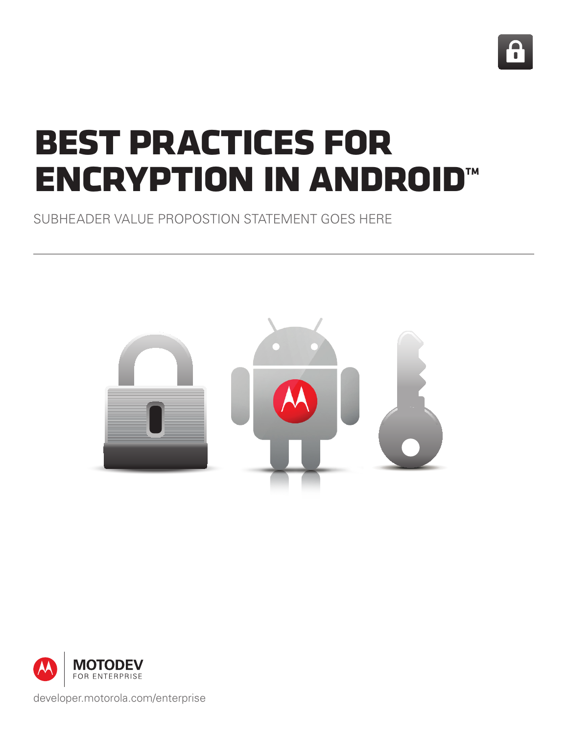

# **best practices for encryption in android™**

SUBHEADER VALUE PROPOSTION STATEMENT GOES HERE





developer.motorola.com/enterprise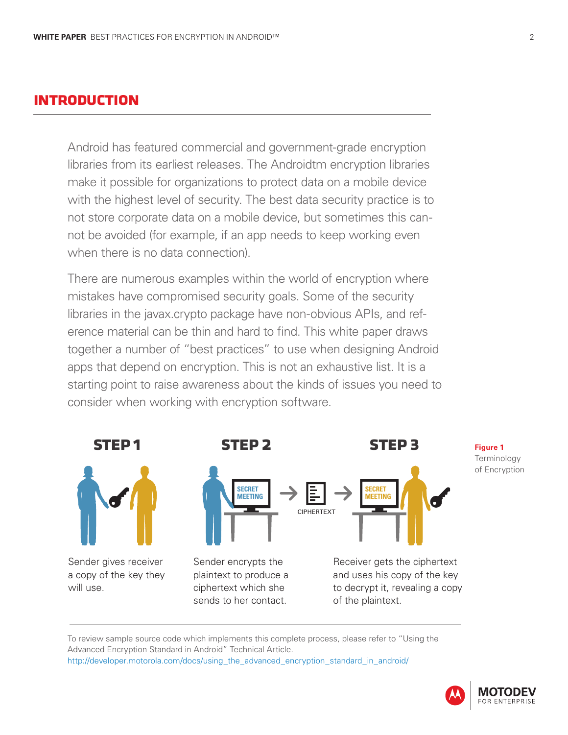### **introduction**

Android has featured commercial and government-grade encryption libraries from its earliest releases. The Androidtm encryption libraries make it possible for organizations to protect data on a mobile device with the highest level of security. The best data security practice is to not store corporate data on a mobile device, but sometimes this cannot be avoided (for example, if an app needs to keep working even when there is no data connection).

There are numerous examples within the world of encryption where mistakes have compromised security goals. Some of the security libraries in the javax.crypto package have non-obvious APIs, and reference material can be thin and hard to find. This white paper draws together a number of "best practices" to use when designing Android apps that depend on encryption. This is not an exhaustive list. It is a starting point to raise awareness about the kinds of issues you need to consider when working with encryption software.



To review sample source code which implements this complete process, please refer to "Using the Advanced Encryption Standard in Android" Technical Article. http://developer.motorola.com/docs/using\_the\_advanced\_encryption\_standard\_in\_android/

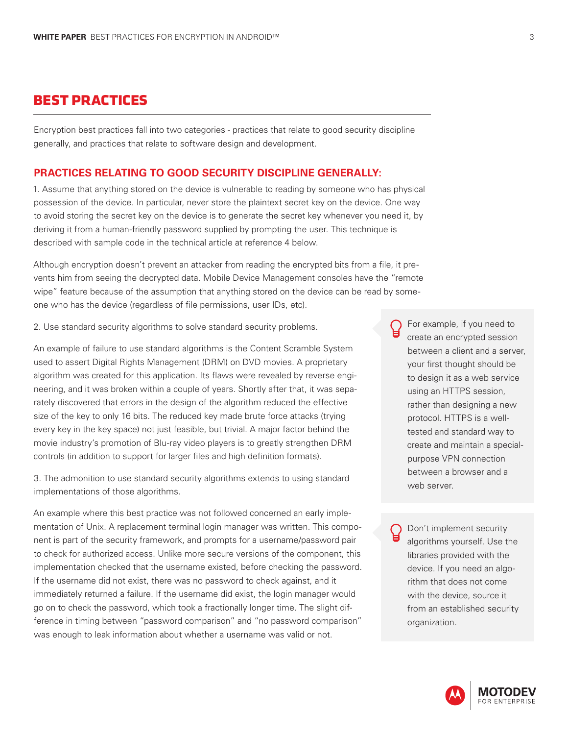#### **best practices**

Encryption best practices fall into two categories - practices that relate to good security discipline generally, and practices that relate to software design and development.

#### **PRACTICES RELATING TO GOOD SECURITY DISCIPLINE GENERALLY:**

1. Assume that anything stored on the device is vulnerable to reading by someone who has physical possession of the device. In particular, never store the plaintext secret key on the device. One way to avoid storing the secret key on the device is to generate the secret key whenever you need it, by deriving it from a human-friendly password supplied by prompting the user. This technique is described with sample code in the technical article at reference 4 below.

Although encryption doesn't prevent an attacker from reading the encrypted bits from a file, it prevents him from seeing the decrypted data. Mobile Device Management consoles have the "remote wipe" feature because of the assumption that anything stored on the device can be read by someone who has the device (regardless of file permissions, user IDs, etc).

2. Use standard security algorithms to solve standard security problems.

An example of failure to use standard algorithms is the Content Scramble System used to assert Digital Rights Management (DRM) on DVD movies. A proprietary algorithm was created for this application. Its flaws were revealed by reverse engineering, and it was broken within a couple of years. Shortly after that, it was separately discovered that errors in the design of the algorithm reduced the effective size of the key to only 16 bits. The reduced key made brute force attacks (trying every key in the key space) not just feasible, but trivial. A major factor behind the movie industry's promotion of Blu-ray video players is to greatly strengthen DRM controls (in addition to support for larger files and high definition formats).

3. The admonition to use standard security algorithms extends to using standard implementations of those algorithms.

An example where this best practice was not followed concerned an early implementation of Unix. A replacement terminal login manager was written. This component is part of the security framework, and prompts for a username/password pair to check for authorized access. Unlike more secure versions of the component, this implementation checked that the username existed, before checking the password. If the username did not exist, there was no password to check against, and it immediately returned a failure. If the username did exist, the login manager would go on to check the password, which took a fractionally longer time. The slight difference in timing between "password comparison" and "no password comparison" was enough to leak information about whether a username was valid or not.

For example, if you need to create an encrypted session between a client and a server, your first thought should be to design it as a web service using an HTTPS session, rather than designing a new protocol. HTTPS is a welltested and standard way to create and maintain a specialpurpose VPN connection between a browser and a web server.

Don't implement security algorithms yourself. Use the libraries provided with the device. If you need an algorithm that does not come with the device, source it from an established security organization.

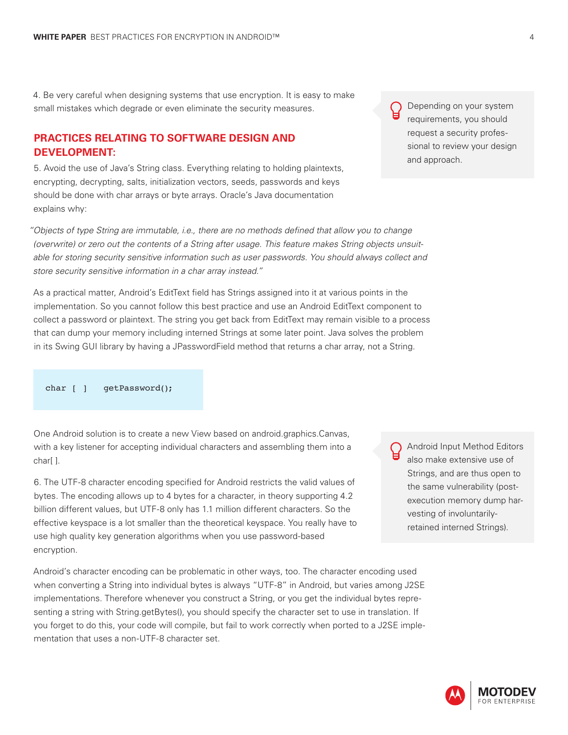4. Be very careful when designing systems that use encryption. It is easy to make small mistakes which degrade or even eliminate the security measures.

#### **PRACTICES RELATING TO SOFTWARE DESIGN AND DEVELOPMENT:**

5. Avoid the use of Java's String class. Everything relating to holding plaintexts, encrypting, decrypting, salts, initialization vectors, seeds, passwords and keys should be done with char arrays or byte arrays. Oracle's Java documentation explains why:

*"Objects of type String are immutable, i.e., there are no methods defined that allow you to change (overwrite) or zero out the contents of a String after usage. This feature makes String objects unsuitable for storing security sensitive information such as user passwords. You should always collect and store security sensitive information in a char array instead."*

As a practical matter, Android's EditText field has Strings assigned into it at various points in the implementation. So you cannot follow this best practice and use an Android EditText component to collect a password or plaintext. The string you get back from EditText may remain visible to a process that can dump your memory including interned Strings at some later point. Java solves the problem in its Swing GUI library by having a JPasswordField method that returns a char array, not a String.

char [ ] getPassword();

One Android solution is to create a new View based on android.graphics.Canvas, with a key listener for accepting individual characters and assembling them into a char[ ].

6. The UTF-8 character encoding specified for Android restricts the valid values of bytes. The encoding allows up to 4 bytes for a character, in theory supporting 4.2 billion different values, but UTF-8 only has 1.1 million different characters. So the effective keyspace is a lot smaller than the theoretical keyspace. You really have to use high quality key generation algorithms when you use password-based encryption.

Android's character encoding can be problematic in other ways, too. The character encoding used when converting a String into individual bytes is always "UTF-8" in Android, but varies among J2SE implementations. Therefore whenever you construct a String, or you get the individual bytes representing a string with String.getBytes(), you should specify the character set to use in translation. If you forget to do this, your code will compile, but fail to work correctly when ported to a J2SE implementation that uses a non-UTF-8 character set.

Depending on your system requirements, you should request a security professional to review your design and approach.



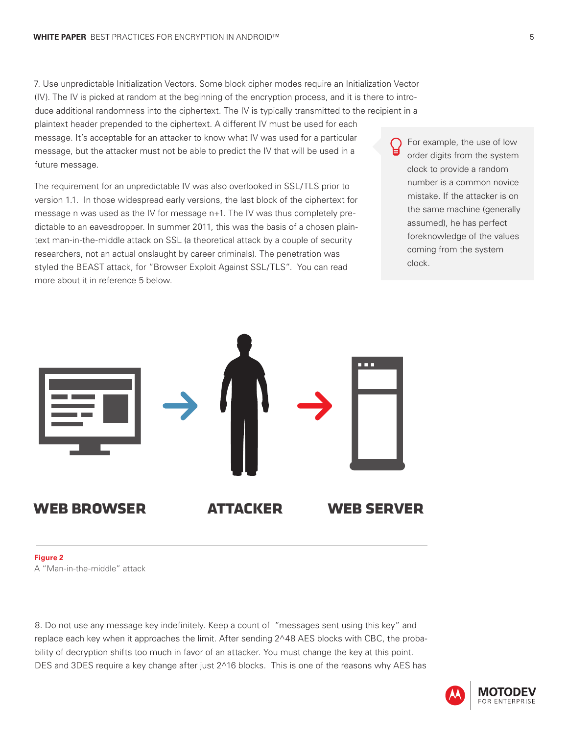7. Use unpredictable Initialization Vectors. Some block cipher modes require an Initialization Vector (IV). The IV is picked at random at the beginning of the encryption process, and it is there to introduce additional randomness into the ciphertext. The IV is typically transmitted to the recipient in a plaintext header prepended to the ciphertext. A different IV must be used for each message. It's acceptable for an attacker to know what IV was used for a particular message, but the attacker must not be able to predict the IV that will be used in a future message.

The requirement for an unpredictable IV was also overlooked in SSL/TLS prior to version 1.1. In those widespread early versions, the last block of the ciphertext for message n was used as the IV for message n+1. The IV was thus completely predictable to an eavesdropper. In summer 2011, this was the basis of a chosen plaintext man-in-the-middle attack on SSL (a theoretical attack by a couple of security researchers, not an actual onslaught by career criminals). The penetration was styled the BEAST attack, for "Browser Exploit Against SSL/TLS". You can read more about it in reference 5 below.

For example, the use of low order digits from the system clock to provide a random number is a common novice mistake. If the attacker is on the same machine (generally assumed), he has perfect foreknowledge of the values coming from the system clock.



#### **Figure 2**

A "Man-in-the-middle" attack

8. Do not use any message key indefinitely. Keep a count of "messages sent using this key" and replace each key when it approaches the limit. After sending 2^48 AES blocks with CBC, the probability of decryption shifts too much in favor of an attacker. You must change the key at this point. DES and 3DES require a key change after just 2^16 blocks. This is one of the reasons why AES has

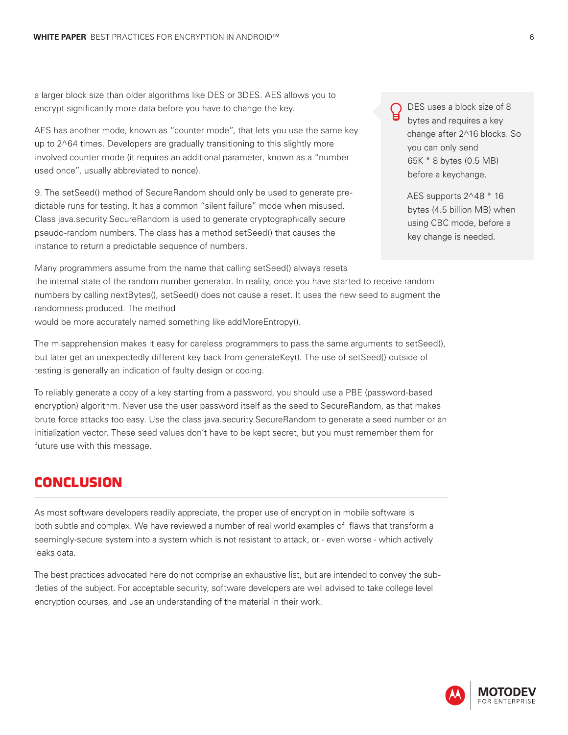a larger block size than older algorithms like DES or 3DES. AES allows you to encrypt significantly more data before you have to change the key.

AES has another mode, known as "counter mode", that lets you use the same key up to 2^64 times. Developers are gradually transitioning to this slightly more involved counter mode (it requires an additional parameter, known as a "number used once", usually abbreviated to nonce).

9. The setSeed() method of SecureRandom should only be used to generate predictable runs for testing. It has a common "silent failure" mode when misused. Class java.security.SecureRandom is used to generate cryptographically secure pseudo-random numbers. The class has a method setSeed() that causes the instance to return a predictable sequence of numbers.

DES uses a block size of 8 bytes and requires a key change after 2^16 blocks. So you can only send 65K \* 8 bytes (0.5 MB) before a keychange.

AES supports 2^48 \* 16 bytes (4.5 billion MB) when using CBC mode, before a key change is needed.

Many programmers assume from the name that calling setSeed() always resets the internal state of the random number generator. In reality, once you have started to receive random numbers by calling nextBytes(), setSeed() does not cause a reset. It uses the new seed to augment the randomness produced. The method

would be more accurately named something like addMoreEntropy().

The misapprehension makes it easy for careless programmers to pass the same arguments to setSeed(), but later get an unexpectedly different key back from generateKey(). The use of setSeed() outside of testing is generally an indication of faulty design or coding.

To reliably generate a copy of a key starting from a password, you should use a PBE (password-based encryption) algorithm. Never use the user password itself as the seed to SecureRandom, as that makes brute force attacks too easy. Use the class java.security.SecureRandom to generate a seed number or an initialization vector. These seed values don't have to be kept secret, but you must remember them for future use with this message.

#### **conclusion**

As most software developers readily appreciate, the proper use of encryption in mobile software is both subtle and complex. We have reviewed a number of real world examples of flaws that transform a seemingly-secure system into a system which is not resistant to attack, or - even worse - which actively leaks data.

The best practices advocated here do not comprise an exhaustive list, but are intended to convey the subtleties of the subject. For acceptable security, software developers are well advised to take college level encryption courses, and use an understanding of the material in their work.